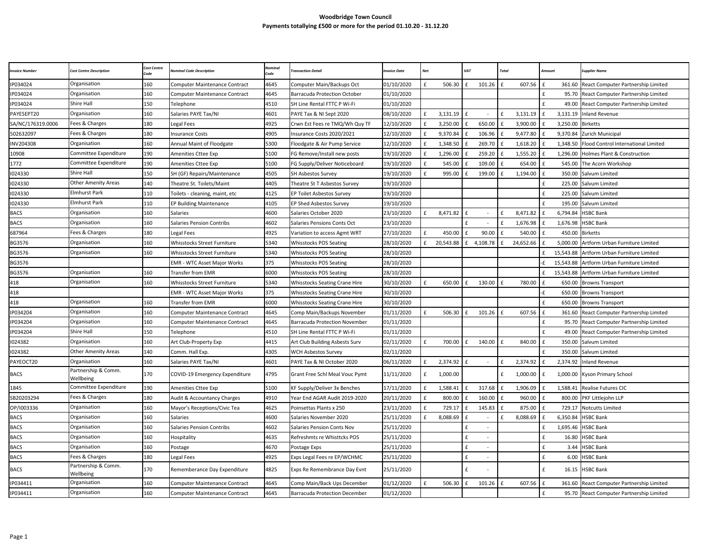## **Woodbridge Town Council Payments totallying £500 or more for the period 01.10.20 - 31.12.20**

| <b>ivoice Number</b> | Cost Centre Description          | Cost Centre<br>ode | ominal Code Description              | 'ode | ransaction Detail                    | nvoice Date | Net          |           | VAT          |                          | Total        |           | <i>Imount</i> |           | <b>Supplier Name</b>                |
|----------------------|----------------------------------|--------------------|--------------------------------------|------|--------------------------------------|-------------|--------------|-----------|--------------|--------------------------|--------------|-----------|---------------|-----------|-------------------------------------|
| P034024              | Organisation                     | 160                | <b>Computer Maintenance Contract</b> | 4645 | Computer Main/Backups Oct            | 01/10/2020  | £            | 506.30    | £            | 101.26                   | £            | 607.56    | £             | 361.60    | React Computer Partnership Limited  |
| P034024              | Organisation                     | 160                | <b>Computer Maintenance Contract</b> | 4645 | <b>Barracuda Protection October</b>  | 01/10/2020  |              |           |              |                          |              |           | £             | 95.70     | React Computer Partnership Limited  |
| P034024              | Shire Hall                       | 150                | Telephone                            | 4510 | SH Line Rental FTTC P Wi-Fi          | 01/10/2020  |              |           |              |                          |              |           | f             | 49.00     | React Computer Partnership Limited  |
| PAYESEPT20           | Organisation                     | 160                | Salaries PAYE Tax/NI                 | 4601 | PAYE Tax & NI Sept 2020              | 08/10/2020  | £            | 3,131.19  |              |                          |              | 3,131.19  |               | 3,131.19  | <b>Inland Revenue</b>               |
| SA/NC/176319.0006    | Fees & Charges                   | 180                | Legal Fees                           | 4925 | Crwn Est Fees re TMQ/Wh Quy TF       | 12/10/2020  |              | 3,250.00  |              | 650.00                   |              | 3,900.00  |               | 3,250.00  | <b>Birketts</b>                     |
| 502632097            | Fees & Charges                   | 180                | <b>Insurance Costs</b>               | 4905 | Insurance Costs 2020/2021            | 12/10/2020  | f            | 9,370.84  | $\mathbf{f}$ | 106.96                   | $\mathbf{f}$ | 9,477.80  | f             | 9,370.84  | Zurich Municipal                    |
| INV204308            | Organisation                     | 160                | Annual Maint of Floodgate            | 5300 | Floodgate & Air Pump Service         | 12/10/2020  |              | 1,348.50  |              | 269.70                   |              | 1,618.20  |               | 1,348.50  | Flood Control International Limited |
| 10908                | Committee Expenditure            | 190                | Amenities Cttee Exp                  | 5100 | FG Remove/Install new posts          | 19/10/2020  | £            | 1,296.00  | £            | 259.20                   |              | 1,555.20  |               | 1,296.00  | Holmes Plant & Construction         |
| 1772                 | Committee Expenditure            | 190                | Amenities Cttee Exp                  | 5100 | FG Supply/Deliver Noticeboard        | 19/10/2020  | £            | 545.00    |              | 109.00                   |              | 654.00    |               | 545.00    | The Acorn Workshop                  |
| 024330               | Shire Hall                       | 150                | SH (GF) Repairs/Maintenance          | 4505 | SH Asbestos Survey                   | 19/10/2020  | f            | 995.00    | £            | 199.00                   | f            | 1,194.00  | f             | 350.00    | Salvum Limited                      |
| 1024330              | <b>Other Amenity Areas</b>       | 140                | Theatre St. Toilets/Maint            | 4405 | Theatre St T Asbestos Survey         | 19/10/2020  |              |           |              |                          |              |           | f             | 225.00    | Salvum Limited                      |
| 1024330              | <b>Elmhurst Park</b>             | 110                | Toilets - cleaning, maint, etc       | 4125 | EP Toilet Asbestos Survey            | 19/10/2020  |              |           |              |                          |              |           | f             | 225.00    | Salvum Limited                      |
| 1024330              | Elmhurst Park                    | 110                | <b>EP Building Maintenance</b>       | 4105 | <b>EP Shed Asbestos Survey</b>       | 19/10/2020  |              |           |              |                          |              |           | £             | 195.00    | Salvum Limited                      |
| <b>BACS</b>          | Organisation                     | 160                | Salaries                             | 4600 | Salaries October 2020                | 23/10/2020  | f            | 8,471.82  | $\mathbf{f}$ |                          | $\mathbf{f}$ | 8,471.82  |               | 6,794.84  | <b>HSBC Bank</b>                    |
| <b>BACS</b>          | Organisation                     | 160                | <b>Salaries Pension Contribs</b>     | 4602 | Salaries Pensions Conts Oct          | 23/10/2020  |              |           | f            | $\sim$                   |              | 1,676.98  |               | 1,676.98  | <b>HSBC Bank</b>                    |
| 687964               | Fees & Charges                   | 180                | Legal Fees                           | 4925 | Variation to access Agmt WRT         | 27/10/2020  | £            | 450.00    | £            | 90.00                    | £            | 540.00    | $\mathbf{f}$  | 450.00    | <b>Birketts</b>                     |
| 3G3576               | Organisation                     | 160                | Whisstocks Street Furniture          | 5340 | <b>Whisstocks POS Seating</b>        | 28/10/2020  | £            | 20,543.88 | f            | 4,108.78                 | £            | 24,652.66 |               | 5,000.00  | Artform Urban Furniture Limited     |
| BG3576               | Organisation                     | 160                | Whisstocks Street Furniture          | 5340 | Whisstocks POS Seating               | 28/10/2020  |              |           |              |                          |              |           | £             | 15,543.88 | Artform Urban Furniture Limited     |
| BG3576               |                                  |                    | <b>EMR - WTC Asset Major Works</b>   | 375  | <b>Whisstocks POS Seating</b>        | 28/10/2020  |              |           |              |                          |              |           | ٠F            | 15,543.88 | Artform Urban Furniture Limited     |
| BG3576               | Organisation                     | 160                | Transfer from EMR                    | 6000 | <b>Whisstocks POS Seating</b>        | 28/10/2020  |              |           |              |                          |              |           |               | 15,543.88 | Artform Urban Furniture Limited     |
| 418                  | Organisation                     | 160                | Whisstocks Street Furniture          | 5340 | <b>Whisstocks Seating Crane Hire</b> | 30/10/2020  | £            | 650.00    | £            | 130.00                   | $\mathbf{f}$ | 780.00    | f             | 650.00    | <b>Browns Transport</b>             |
| 418                  |                                  |                    | <b>EMR - WTC Asset Major Works</b>   | 375  | Whisstocks Seating Crane Hire        | 30/10/2020  |              |           |              |                          |              |           | ٠£            | 650.00    | <b>Browns Transport</b>             |
| 418                  | Organisation                     | 160                | Transfer from EMR                    | 6000 | <b>Whisstocks Seating Crane Hire</b> | 30/10/2020  |              |           |              |                          |              |           | £             | 650.00    | <b>Browns Transport</b>             |
| IP034204             | Organisation                     | 160                | <b>Computer Maintenance Contract</b> | 4645 | Comp Main/Backups November           | 01/11/2020  | £            | 506.30    | £            | 101.26                   | f            | 607.56    |               | 361.60    | React Computer Partnership Limited  |
| P034204              | Organisation                     | 160                | Computer Maintenance Contract        | 4645 | Barracuda Protection November        | 01/11/2020  |              |           |              |                          |              |           | $\mathbf{f}$  | 95.70     | React Computer Partnership Limited  |
| IP034204             | Shire Hall                       | 150                | Telephone                            | 4510 | SH Line Rental FTTC P Wi-Fi          | 01/11/2020  |              |           |              |                          |              |           | £             | 49.00     | React Computer Partnership Limited  |
| 024382               | Organisation                     | 160                | Art Club-Property Exp                | 4415 | Art Club Building Asbests Surv       | 02/11/2020  | £            | 700.00    | £            | 140.00                   |              | 840.00    |               | 350.00    | Salvum Limited                      |
| 1024382              | <b>Other Amenity Areas</b>       | 140                | Comm. Hall Exp.                      | 4305 | WCH Asbestos Survey                  | 02/11/2020  |              |           |              |                          |              |           | $\mathbf{f}$  | 350.00    | Salvum Limited                      |
| PAYEOCT20            | Organisation                     | 160                | Salaries PAYE Tax/NI                 | 4601 | PAYE Tax & NI October 2020           | 06/11/2020  | £            | 2,374.92  | £            | $\sim$                   | f            | 2,374.92  | $\mathbf{f}$  | 2,374.92  | <b>Inland Revenue</b>               |
| <b>BACS</b>          | Partnership & Comm.<br>Wellbeing | 170                | COVID-19 Emergency Expenditure       | 4795 | Grant Free Schl Meal Vouc Pymt       | 11/11/2020  | £            | 1,000.00  |              |                          | £            | 1,000.00  | £             | 1,000.00  | Kyson Primary School                |
| 1845                 | Committee Expenditure            | 190                | Amenities Cttee Exp                  | 5100 | KF Supply/Deliver 3x Benches         | 17/11/2020  | f            | 1,588.41  | $\mathbf{f}$ | 317.68                   | f            | 1,906.09  | $\mathbf{f}$  | 1,588.41  | Realise Futures CIC                 |
| SB20203294           | Fees & Charges                   | 180                | Audit & Accountancy Charges          | 4910 | Year End AGAR Audit 2019-2020        | 20/11/2020  | $\mathbf{f}$ | 800.00    |              | 160.00                   |              | 960.00    |               | 800.00    | PKF Littlejohn LLP                  |
| OP/I003336           | Organisation                     | 160                | Mayor's Receptions/Civic Tea         | 4625 | Poinsettas Plants x 250              | 23/11/2020  | £            | 729.17    | £            | 145.83                   | £            | 875.00    |               | 729.17    | Notcutts Limited                    |
| <b>BACS</b>          | Organisation                     | 160                | <b>Salaries</b>                      | 4600 | Salaries November 2020               | 25/11/2020  | £            | 8,088.69  | $\mathbf{f}$ | $\sim$                   | £            | 8,088.69  |               | 6,350.84  | <b>HSBC Bank</b>                    |
| <b>BACS</b>          | Organisation                     | 160                | <b>Salaries Pension Contribs</b>     | 4602 | <b>Salaries Pension Conts Nov</b>    | 25/11/2020  |              |           | £            | $\overline{\phantom{a}}$ |              |           | f             | 1,695.46  | <b>HSBC Bank</b>                    |
| BACS                 | Organisation                     | 160                | Hospitality                          | 4635 | Refreshmts re Whisttcks POS          | 25/11/2020  |              |           | £            | $\sim$                   |              |           | £             | 16.80     | HSBC Bank                           |
| <b>BACS</b>          | Organisation                     | 160                | Postage                              | 4670 | Postage Exps                         | 25/11/2020  |              |           | £            |                          |              |           |               | 3.44      | <b>HSBC Bank</b>                    |
| BACS                 | Fees & Charges                   | 180                | Legal Fees                           | 4925 | Exps Legal Fees re EP/WCHMC          | 25/11/2020  |              |           | £            | $\omega$                 |              |           | f             | 6.00      | <b>HSBC Bank</b>                    |
| <b>BACS</b>          | Partnership & Comm.<br>Wellbeing | 170                | Rememberance Day Expenditure         | 4825 | Exps Re Remembrance Day Evnt         | 25/11/2020  |              |           | f            |                          |              |           | £             | 16.15     | <b>HSBC Bank</b>                    |
| P034411              | Organisation                     | 160                | Computer Maintenance Contract        | 4645 | Comp Main/Back Ups December          | 01/12/2020  | f            | 506.30    | £            | 101.26                   | £            | 607.56    | £             | 361.60    | React Computer Partnership Limited  |
| P034411              | Organisation                     | 160                | <b>Computer Maintenance Contract</b> | 4645 | Barracuda Protection December        | 01/12/2020  |              |           |              |                          |              |           | $\mathbf{f}$  | 95.70     | React Computer Partnership Limited  |